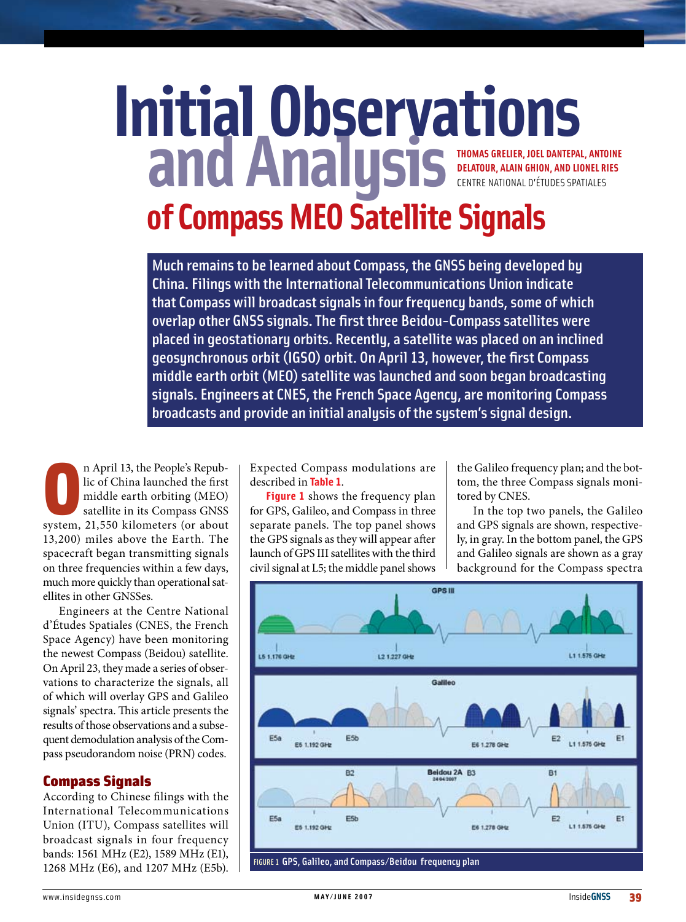# **Initial Observations and Analysis SEATORAGE OF Compass MEO Satellite Signals Thomas Grelier, Joel Dantepal, Antoine DeLatour, Alain Ghion, and Lionel Ries** Centre National d'Études Spatiales

Much remains to be learned about Compass, the GNSS being developed by China. Filings with the International Telecommunications Union indicate that Compass will broadcast signals in four frequency bands, some of which overlap other GNSS signals. The first three Beidou-Compass satellites were placed in geostationary orbits. Recently, a satellite was placed on an inclined geosynchronous orbit (IGSO) orbit. On April 13, however, the first Compass middle earth orbit (MEO) satellite was launched and soon began broadcasting signals. Engineers at CNES, the French Space Agency, are monitoring Compass broadcasts and provide an initial analysis of the system's signal design.

n April 13, the People's Repub-<br>lic of China launched the first<br>middle earth orbiting (MEO)<br>satellite in its Compass GNSS<br>system, 21,550 kilometers (or about n April 13, the People's Republic of China launched the first middle earth orbiting (MEO) satellite in its Compass GNSS 13,200) miles above the Earth. The spacecraft began transmitting signals on three frequencies within a few days, much more quickly than operational satellites in other GNSSes.

Engineers at the Centre National d'Études Spatiales (CNES, the French Space Agency) have been monitoring the newest Compass (Beidou) satellite. On April 23, they made a series of observations to characterize the signals, all of which will overlay GPS and Galileo signals' spectra. This article presents the results of those observations and a subsequent demodulation analysis of the Compass pseudorandom noise (PRN) codes.

# Compass Signals

According to Chinese filings with the International Telecommunications Union (ITU), Compass satellites will broadcast signals in four frequency bands: 1561 MHz (E2), 1589 MHz (E1), 1268 MHz (E6), and 1207 MHz (E5b).

Expected Compass modulations are described in **Table 1**.

**Figure 1** shows the frequency plan for GPS, Galileo, and Compass in three separate panels. The top panel shows the GPS signals as they will appear after launch of GPS III satellites with the third civil signal at L5; the middle panel shows

the Galileo frequency plan; and the bottom, the three Compass signals monitored by CNES.

In the top two panels, the Galileo and GPS signals are shown, respectively, in gray. In the bottom panel, the GPS and Galileo signals are shown as a gray background for the Compass spectra

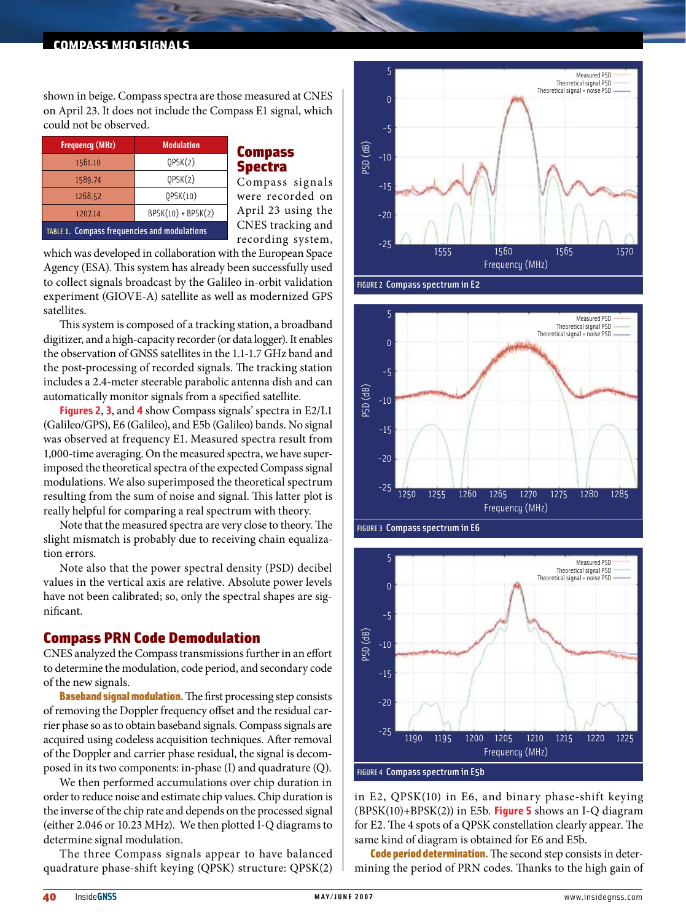#### compass meo signals

shown in beige. Compass spectra are those measured at CNES on April 23. It does not include the Compass E1 signal, which could not be observed.

| <b>Frequency (MHz)</b>                              | <b>Modulation</b>    |  |  |  |
|-----------------------------------------------------|----------------------|--|--|--|
| 1561.10                                             | QPSK(2)              |  |  |  |
| 1589.74                                             | QPSK(2)              |  |  |  |
| 1268.52                                             | QPSK(10)             |  |  |  |
| 1207.14                                             | $BPSK(10) + BPSK(2)$ |  |  |  |
| <b>TABLE 1. Compass frequencies and modulations</b> |                      |  |  |  |

# **Compass** Spectra

Compass signals were recorded on April 23 using the CNES tracking and recording system,

which was developed in collaboration with the European Space Agency (ESA). This system has already been successfully used to collect signals broadcast by the Galileo in-orbit validation experiment (GIOVE-A) satellite as well as modernized GPS satellites.

This system is composed of a tracking station, a broadband digitizer, and a high-capacity recorder (or data logger). It enables the observation of GNSS satellites in the 1.1-1.7 GHz band and the post-processing of recorded signals. The tracking station includes a 2.4-meter steerable parabolic antenna dish and can automatically monitor signals from a specified satellite.

**Figures 2**, **3**, and **4** show Compass signals' spectra in E2/L1 (Galileo/GPS), E6 (Galileo), and E5b (Galileo) bands. No signal was observed at frequency E1. Measured spectra result from 1,000-time averaging. On the measured spectra, we have superimposed the theoretical spectra of the expected Compass signal modulations. We also superimposed the theoretical spectrum resulting from the sum of noise and signal. This latter plot is really helpful for comparing a real spectrum with theory.

Note that the measured spectra are very close to theory. The slight mismatch is probably due to receiving chain equalization errors.

Note also that the power spectral density (PSD) decibel values in the vertical axis are relative. Absolute power levels have not been calibrated; so, only the spectral shapes are significant.

#### Compass PRN Code Demodulation

CNES analyzed the Compass transmissions further in an effort to determine the modulation, code period, and secondary code of the new signals.

**Baseband signal modulation.** The first processing step consists of removing the Doppler frequency offset and the residual carrier phase so as to obtain baseband signals. Compass signals are acquired using codeless acquisition techniques. After removal of the Doppler and carrier phase residual, the signal is decomposed in its two components: in-phase (I) and quadrature (Q).

We then performed accumulations over chip duration in order to reduce noise and estimate chip values. Chip duration is the inverse of the chip rate and depends on the processed signal (either 2.046 or 10.23 MHz). We then plotted I-Q diagrams to determine signal modulation.

The three Compass signals appear to have balanced quadrature phase-shift keying (QPSK) structure: QPSK(2)



FIGURE 2 Compass spectrum in E2







in E2, QPSK(10) in E6, and binary phase-shift keying (BPSK(10)+BPSK(2)) in E5b. **Figure 5** shows an I-Q diagram for E2. The 4 spots of a QPSK constellation clearly appear. The same kind of diagram is obtained for E6 and E5b.

Code period determination. The second step consists in determining the period of PRN codes. Thanks to the high gain of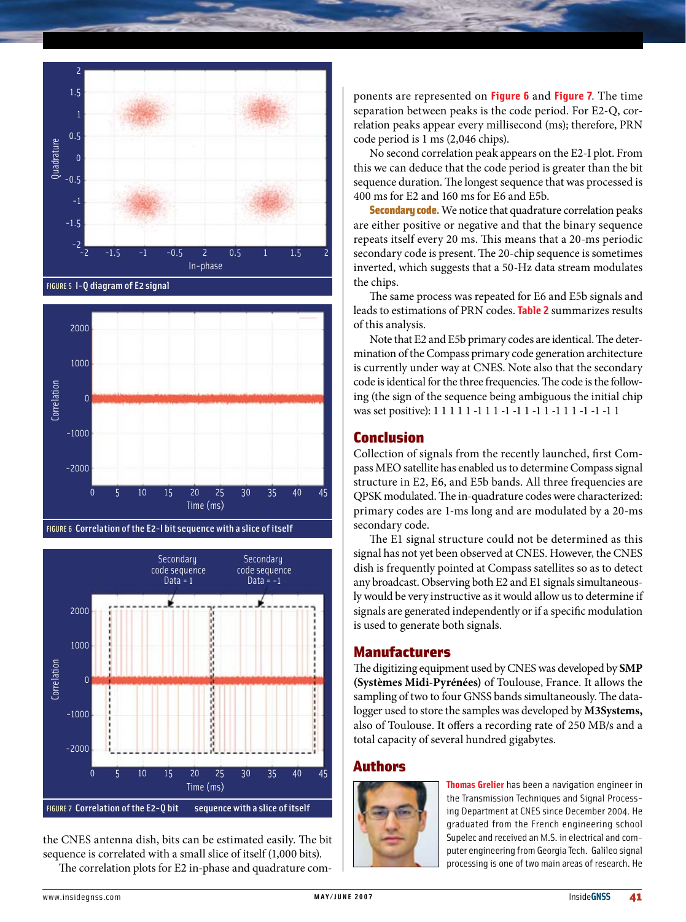

FIGURE 5 I-Q diagram of E2 signal



FIGURE 6 Correlation of the E2-I bit sequence with a slice of itself



the CNES antenna dish, bits can be estimated easily. The bit sequence is correlated with a small slice of itself (1,000 bits). The correlation plots for E2 in-phase and quadrature com-

ponents are represented on **Figure 6** and **Figure 7**. The time separation between peaks is the code period. For E2-Q, correlation peaks appear every millisecond (ms); therefore, PRN code period is 1 ms (2,046 chips).

No second correlation peak appears on the E2-I plot. From this we can deduce that the code period is greater than the bit sequence duration. The longest sequence that was processed is 400 ms for E2 and 160 ms for E6 and E5b.

**Secondary code.** We notice that quadrature correlation peaks are either positive or negative and that the binary sequence repeats itself every 20 ms. This means that a 20-ms periodic secondary code is present. The 20-chip sequence is sometimes inverted, which suggests that a 50-Hz data stream modulates the chips.

The same process was repeated for E6 and E5b signals and leads to estimations of PRN codes. **Table 2** summarizes results of this analysis.

Note that E2 and E5b primary codes are identical. The determination of the Compass primary code generation architecture is currently under way at CNES. Note also that the secondary code is identical for the three frequencies. The code is the following (the sign of the sequence being ambiguous the initial chip was set positive): 1 1 1 1 1 -1 1 1 -1 -1 1 -1 1 -1 1 1 -1 -1 -1 1

# Conclusion

Collection of signals from the recently launched, first Compass MEO satellite has enabled us to determine Compass signal structure in E2, E6, and E5b bands. All three frequencies are QPSK modulated. The in-quadrature codes were characterized: primary codes are 1-ms long and are modulated by a 20-ms secondary code.

The E1 signal structure could not be determined as this signal has not yet been observed at CNES. However, the CNES dish is frequently pointed at Compass satellites so as to detect any broadcast. Observing both E2 and E1 signals simultaneously would be very instructive as it would allow us to determine if signals are generated independently or if a specific modulation is used to generate both signals.

# Manufacturers

The digitizing equipment used by CNES was developed by **SMP (Systèmes Midi-Pyrénées)** of Toulouse, France. It allows the sampling of two to four GNSS bands simultaneously. The datalogger used to store the samples was developed by **M3Systems,** also of Toulouse. It offers a recording rate of 250 MB/s and a total capacity of several hundred gigabytes.

#### Authors



**Thomas Grelier** has been a navigation engineer in the Transmission Techniques and Signal Processing Department at CNES since December 2004. He graduated from the French engineering school Supelec and received an M.S. in electrical and computer engineering from Georgia Tech. Galileo signal processing is one of two main areas of research. He